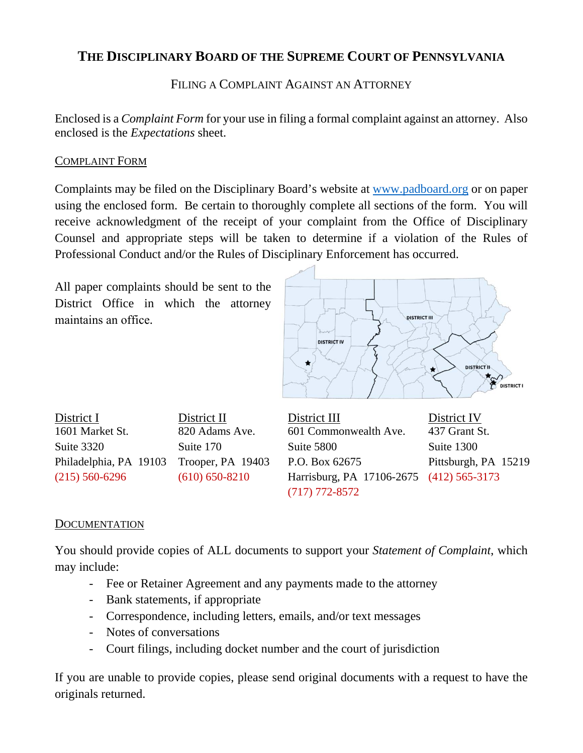## **THE DISCIPLINARY BOARD OF THE SUPREME COURT OF PENNSYLVANIA**

FILING A COMPLAINT AGAINST AN ATTORNEY

Enclosed is a *Complaint Form* for your use in filing a formal complaint against an attorney. Also enclosed is the *Expectations* sheet.

#### COMPLAINT FORM

Complaints may be filed on the Disciplinary Board's website at www.padboard.org or on paper using the enclosed form. Be certain to thoroughly complete all sections of the form. You will receive acknowledgment of the receipt of your complaint from the Office of Disciplinary Counsel and appropriate steps will be taken to determine if a violation of the Rules of Professional Conduct and/or the Rules of Disciplinary Enforcement has occurred.

All paper complaints should be sent to the District Office in which the attorney maintains an office.



District I District II District III District IV 1601 Market St. 820 Adams Ave. 601 Commonwealth Ave. 437 Grant St. Suite 3320 Suite 170 Suite 5800 Suite 1300

Philadelphia, PA 19103 Trooper, PA 19403 P.O. Box 62675 Pittsburgh, PA 15219 (215) 560-6296 (610) 650-8210 Harrisburg, PA 17106-2675 (412) 565-3173 (717) 772-8572

#### **DOCUMENTATION**

You should provide copies of ALL documents to support your *Statement of Complaint*, which may include:

- Fee or Retainer Agreement and any payments made to the attorney
- Bank statements, if appropriate
- Correspondence, including letters, emails, and/or text messages
- Notes of conversations
- Court filings, including docket number and the court of jurisdiction

If you are unable to provide copies, please send original documents with a request to have the originals returned.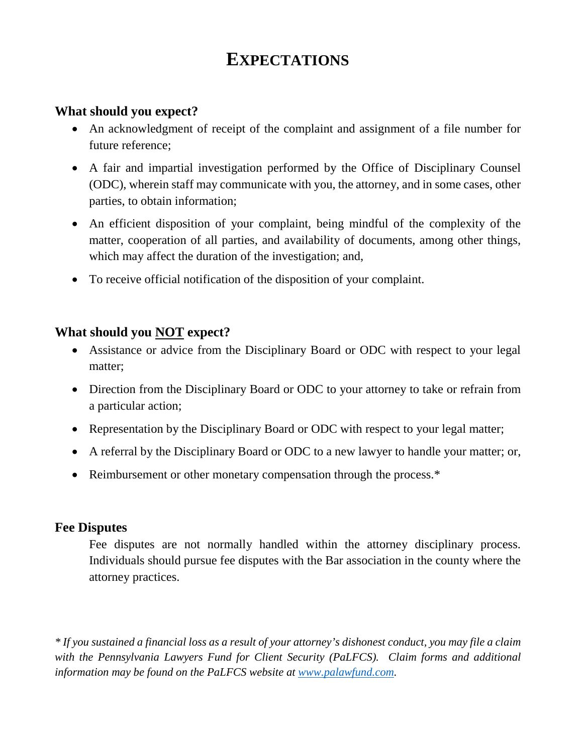# **EXPECTATIONS**

## **What should you expect?**

- An acknowledgment of receipt of the complaint and assignment of a file number for future reference;
- A fair and impartial investigation performed by the Office of Disciplinary Counsel (ODC), wherein staff may communicate with you, the attorney, and in some cases, other parties, to obtain information;
- An efficient disposition of your complaint, being mindful of the complexity of the matter, cooperation of all parties, and availability of documents, among other things, which may affect the duration of the investigation; and,
- To receive official notification of the disposition of your complaint.

## **What should you NOT expect?**

- Assistance or advice from the Disciplinary Board or ODC with respect to your legal matter;
- Direction from the Disciplinary Board or ODC to your attorney to take or refrain from a particular action;
- Representation by the Disciplinary Board or ODC with respect to your legal matter;
- A referral by the Disciplinary Board or ODC to a new lawyer to handle your matter; or,
- Reimbursement or other monetary compensation through the process.\*

## **Fee Disputes**

Fee disputes are not normally handled within the attorney disciplinary process. Individuals should pursue fee disputes with the Bar association in the county where the attorney practices.

*\* If you sustained a financial loss as a result of your attorney's dishonest conduct, you may file a claim with the Pennsylvania Lawyers Fund for Client Security (PaLFCS). Claim forms and additional information may be found on the PaLFCS website at [www.palawfund.com.](http://www.palawfund.com/)*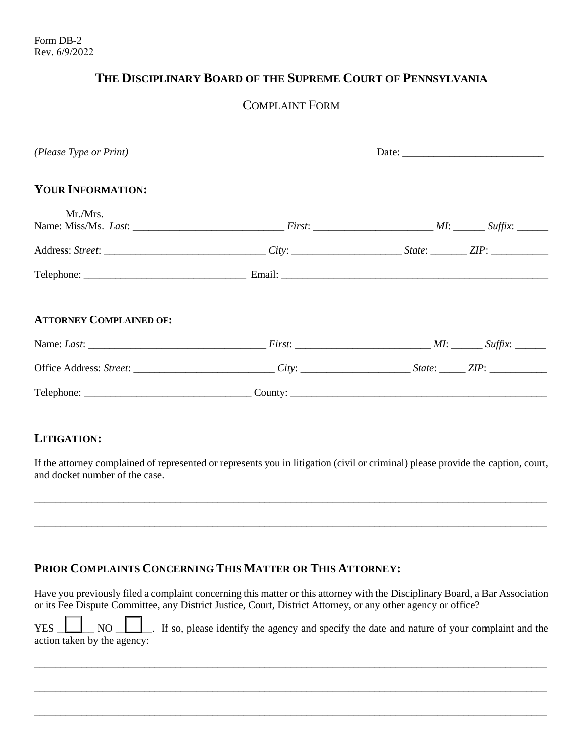## **THE DISCIPLINARY BOARD OF THE SUPREME COURT OF PENNSYLVANIA**

## COMPLAINT FORM

| (Please Type or Print)         | Date: $\frac{1}{\sqrt{1-\frac{1}{2}}\sqrt{1-\frac{1}{2}}\sqrt{1-\frac{1}{2}}\sqrt{1-\frac{1}{2}}\sqrt{1-\frac{1}{2}}\sqrt{1-\frac{1}{2}}\sqrt{1-\frac{1}{2}}\sqrt{1-\frac{1}{2}}\sqrt{1-\frac{1}{2}}\sqrt{1-\frac{1}{2}}\sqrt{1-\frac{1}{2}}\sqrt{1-\frac{1}{2}}\sqrt{1-\frac{1}{2}}\sqrt{1-\frac{1}{2}}\sqrt{1-\frac{1}{2}}\sqrt{1-\frac{1}{2}}\sqrt{1-\frac{1}{2}}\sqrt{1-\frac{1}{2}}\sqrt{1-\frac{1}{2}}$ |  |
|--------------------------------|---------------------------------------------------------------------------------------------------------------------------------------------------------------------------------------------------------------------------------------------------------------------------------------------------------------------------------------------------------------------------------------------------------------|--|
| <b>YOUR INFORMATION:</b>       |                                                                                                                                                                                                                                                                                                                                                                                                               |  |
| Mr./Mrs.                       |                                                                                                                                                                                                                                                                                                                                                                                                               |  |
|                                |                                                                                                                                                                                                                                                                                                                                                                                                               |  |
|                                |                                                                                                                                                                                                                                                                                                                                                                                                               |  |
| <b>ATTORNEY COMPLAINED OF:</b> |                                                                                                                                                                                                                                                                                                                                                                                                               |  |
|                                |                                                                                                                                                                                                                                                                                                                                                                                                               |  |
|                                |                                                                                                                                                                                                                                                                                                                                                                                                               |  |
|                                |                                                                                                                                                                                                                                                                                                                                                                                                               |  |

#### **LITIGATION:**

If the attorney complained of represented or represents you in litigation (civil or criminal) please provide the caption, court, and docket number of the case.

\_\_\_\_\_\_\_\_\_\_\_\_\_\_\_\_\_\_\_\_\_\_\_\_\_\_\_\_\_\_\_\_\_\_\_\_\_\_\_\_\_\_\_\_\_\_\_\_\_\_\_\_\_\_\_\_\_\_\_\_\_\_\_\_\_\_\_\_\_\_\_\_\_\_\_\_\_\_\_\_\_\_\_\_\_\_\_\_\_\_\_\_\_\_\_\_\_\_

\_\_\_\_\_\_\_\_\_\_\_\_\_\_\_\_\_\_\_\_\_\_\_\_\_\_\_\_\_\_\_\_\_\_\_\_\_\_\_\_\_\_\_\_\_\_\_\_\_\_\_\_\_\_\_\_\_\_\_\_\_\_\_\_\_\_\_\_\_\_\_\_\_\_\_\_\_\_\_\_\_\_\_\_\_\_\_\_\_\_\_\_\_\_\_\_\_\_

#### **PRIOR COMPLAINTS CONCERNING THIS MATTER OR THIS ATTORNEY:**

Have you previously filed a complaint concerning this matter or this attorney with the Disciplinary Board, a Bar Association or its Fee Dispute Committee, any District Justice, Court, District Attorney, or any other agency or office?

YES NO NO NO RESALLY IS SO, please identify the agency and specify the date and nature of your complaint and the action taken by the agency:

\_\_\_\_\_\_\_\_\_\_\_\_\_\_\_\_\_\_\_\_\_\_\_\_\_\_\_\_\_\_\_\_\_\_\_\_\_\_\_\_\_\_\_\_\_\_\_\_\_\_\_\_\_\_\_\_\_\_\_\_\_\_\_\_\_\_\_\_\_\_\_\_\_\_\_\_\_\_\_\_\_\_\_\_\_\_\_\_\_\_\_\_\_\_\_\_\_\_

\_\_\_\_\_\_\_\_\_\_\_\_\_\_\_\_\_\_\_\_\_\_\_\_\_\_\_\_\_\_\_\_\_\_\_\_\_\_\_\_\_\_\_\_\_\_\_\_\_\_\_\_\_\_\_\_\_\_\_\_\_\_\_\_\_\_\_\_\_\_\_\_\_\_\_\_\_\_\_\_\_\_\_\_\_\_\_\_\_\_\_\_\_\_\_\_\_\_

\_\_\_\_\_\_\_\_\_\_\_\_\_\_\_\_\_\_\_\_\_\_\_\_\_\_\_\_\_\_\_\_\_\_\_\_\_\_\_\_\_\_\_\_\_\_\_\_\_\_\_\_\_\_\_\_\_\_\_\_\_\_\_\_\_\_\_\_\_\_\_\_\_\_\_\_\_\_\_\_\_\_\_\_\_\_\_\_\_\_\_\_\_\_\_\_\_\_